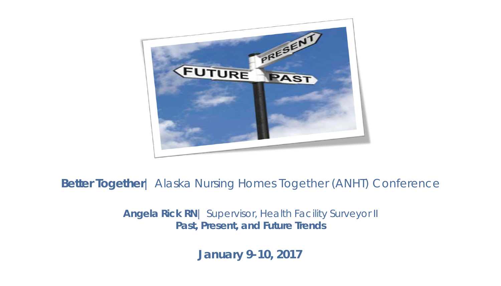

**Better Together**| Alaska Nursing Homes Together (ANHT) Conference

**Angela Rick RN**| Supervisor, Health Facility Surveyor II **Past, Present, and Future Trends**

**January 9-10, 2017**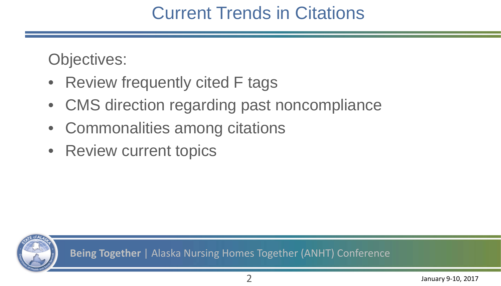#### Current Trends in Citations

Objectives:

- Review frequently cited F tags
- CMS direction regarding past noncompliance
- Commonalities among citations
- Review current topics

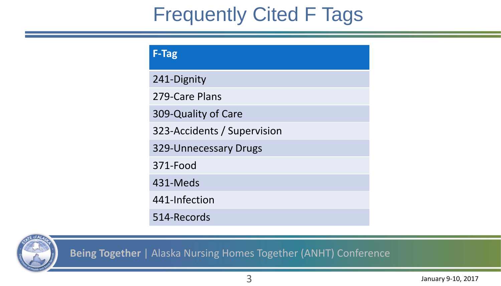### Frequently Cited F Tags

| <b>F-Tag</b>                |
|-----------------------------|
| 241-Dignity                 |
| 279-Care Plans              |
| 309-Quality of Care         |
| 323-Accidents / Supervision |
| 329-Unnecessary Drugs       |
| 371-Food                    |
| 431-Meds                    |
| 441-Infection               |
| 514-Records                 |

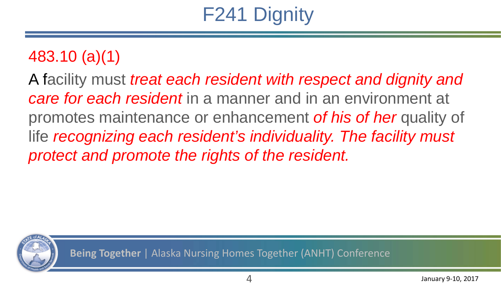## F241 Dignity

#### 483.10 (a)(1)

A facility must *treat each resident with respect and dignity and care for each resident* in a manner and in an environment at promotes maintenance or enhancement *of his of her* quality of life *recognizing each resident's individuality. The facility must protect and promote the rights of the resident.* 

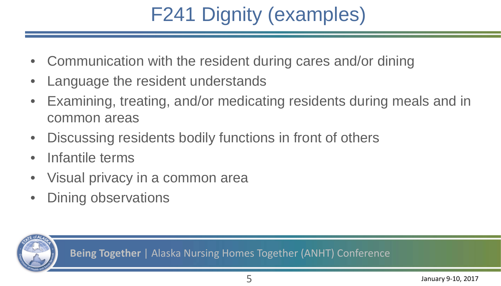## F241 Dignity (examples)

- Communication with the resident during cares and/or dining
- Language the resident understands
- Examining, treating, and/or medicating residents during meals and in common areas
- Discussing residents bodily functions in front of others
- Infantile terms
- Visual privacy in a common area
- Dining observations

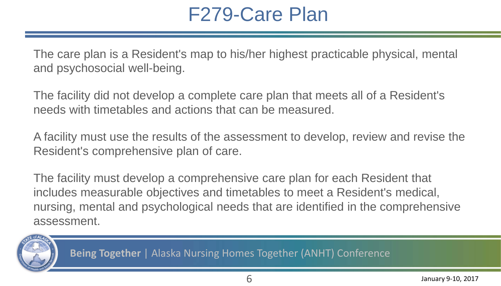#### F279-Care Plan

The care plan is a Resident's map to his/her highest practicable physical, mental and psychosocial well-being.

The facility did not develop a complete care plan that meets all of a Resident's needs with timetables and actions that can be measured.

A facility must use the results of the assessment to develop, review and revise the Resident's comprehensive plan of care.

The facility must develop a comprehensive care plan for each Resident that includes measurable objectives and timetables to meet a Resident's medical, nursing, mental and psychological needs that are identified in the comprehensive assessment.

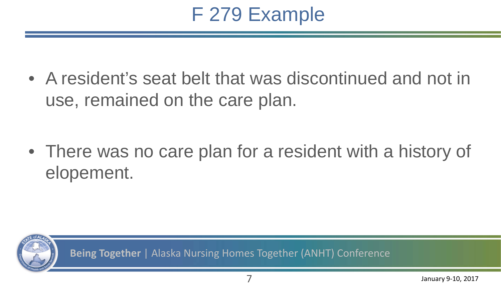### F 279 Example

• A resident's seat belt that was discontinued and not in use, remained on the care plan.

• There was no care plan for a resident with a history of elopement.

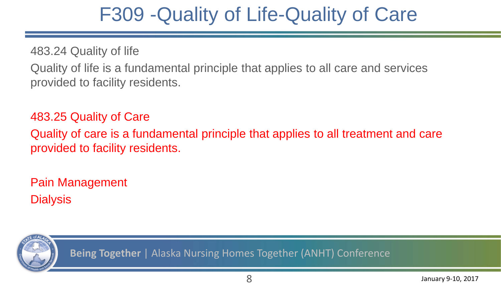#### F309 -Quality of Life-Quality of Care

483.24 Quality of life

Quality of life is a fundamental principle that applies to all care and services provided to facility residents.

483.25 Quality of Care

Quality of care is a fundamental principle that applies to all treatment and care provided to facility residents.

Pain Management **Dialysis** 

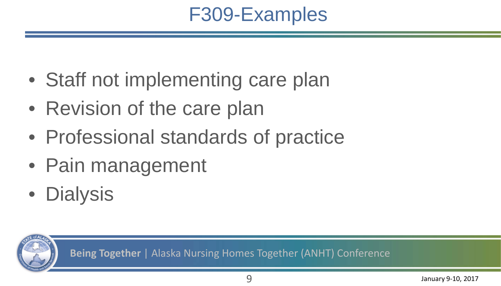### F309-Examples

- Staff not implementing care plan
- Revision of the care plan
- Professional standards of practice
- Pain management
- Dialysis

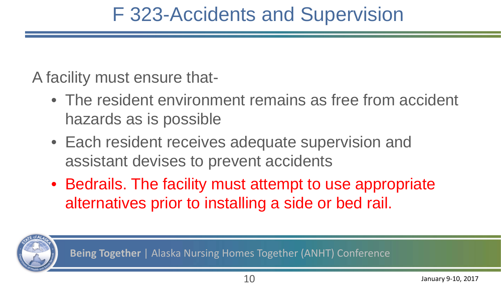### F 323-Accidents and Supervision

A facility must ensure that-

- The resident environment remains as free from accident hazards as is possible
- Each resident receives adequate supervision and assistant devises to prevent accidents
- Bedrails. The facility must attempt to use appropriate alternatives prior to installing a side or bed rail.

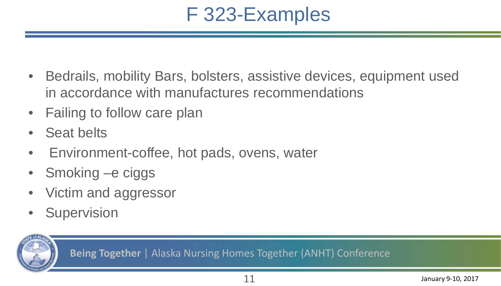### F 323-Examples

- Bedrails, mobility Bars, bolsters, assistive devices, equipment used in accordance with manufactures recommendations
- Failing to follow care plan
- Seat belts
- Environment-coffee, hot pads, ovens, water
- Smoking e ciggs
- Victim and aggressor
- Supervision

**Being Together** | Alaska Nursing Homes Together (ANHT) Conference

11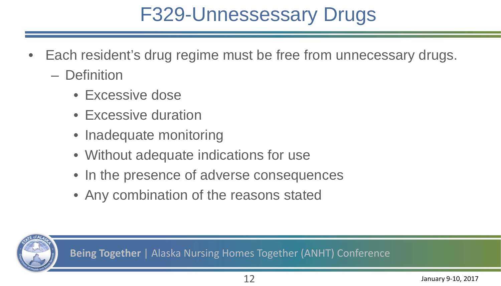### F329-Unnessessary Drugs

- Each resident's drug regime must be free from unnecessary drugs.
	- Definition
		- Excessive dose
		- Excessive duration
		- Inadequate monitoring
		- Without adequate indications for use
		- In the presence of adverse consequences
		- Any combination of the reasons stated

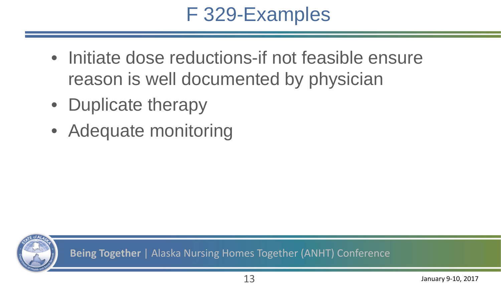### F 329-Examples

- Initiate dose reductions-if not feasible ensure reason is well documented by physician
- Duplicate therapy
- Adequate monitoring

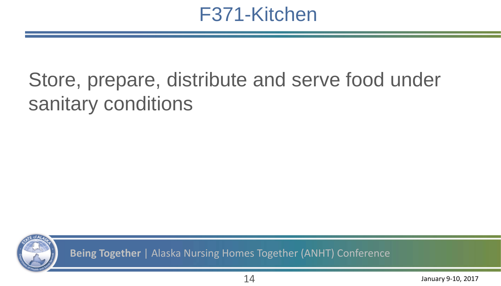#### F371-Kitchen

### Store, prepare, distribute and serve food under sanitary conditions

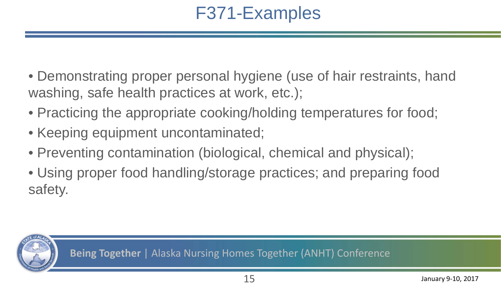#### F371-Examples

- Demonstrating proper personal hygiene (use of hair restraints, hand washing, safe health practices at work, etc.);
- Practicing the appropriate cooking/holding temperatures for food;
- Keeping equipment uncontaminated;
- Preventing contamination (biological, chemical and physical);
- Using proper food handling/storage practices; and preparing food safety.

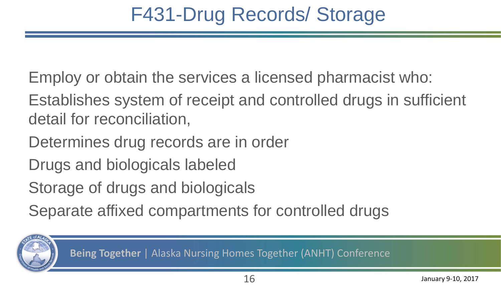- Employ or obtain the services a licensed pharmacist who:
- Establishes system of receipt and controlled drugs in sufficient detail for reconciliation,
- Determines drug records are in order
- Drugs and biologicals labeled
- Storage of drugs and biologicals
- Separate affixed compartments for controlled drugs

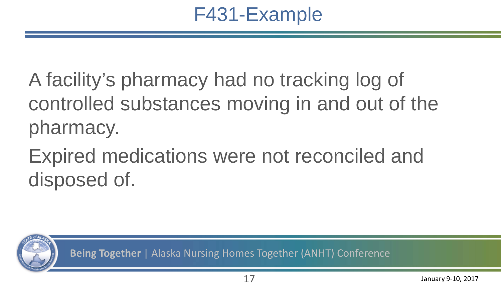### F431-Example

A facility's pharmacy had no tracking log of controlled substances moving in and out of the pharmacy.

Expired medications were not reconciled and disposed of.

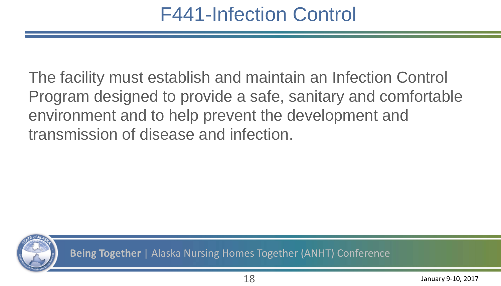### F441-Infection Control

The facility must establish and maintain an Infection Control Program designed to provide a safe, sanitary and comfortable environment and to help prevent the development and transmission of disease and infection.

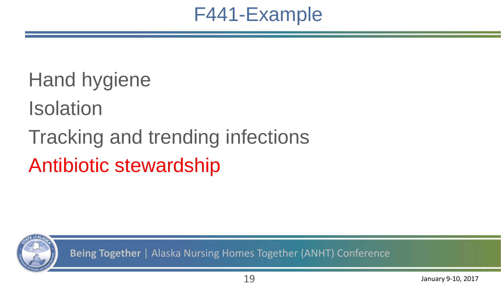

# Hand hygiene Isolation Tracking and trending infections Antibiotic stewardship

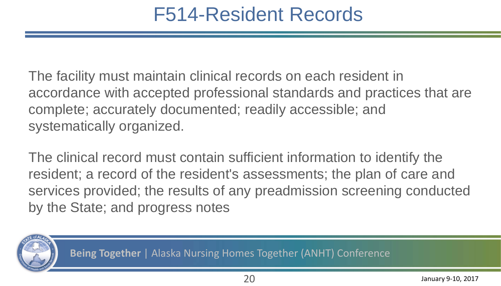#### F514-Resident Records

The facility must maintain clinical records on each resident in accordance with accepted professional standards and practices that are complete; accurately documented; readily accessible; and systematically organized.

The clinical record must contain sufficient information to identify the resident; a record of the resident's assessments; the plan of care and services provided; the results of any preadmission screening conducted by the State; and progress notes

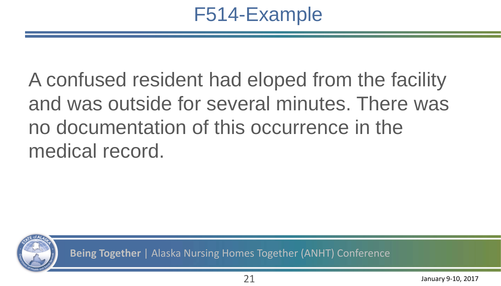### F514-Example

A confused resident had eloped from the facility and was outside for several minutes. There was no documentation of this occurrence in the medical record.

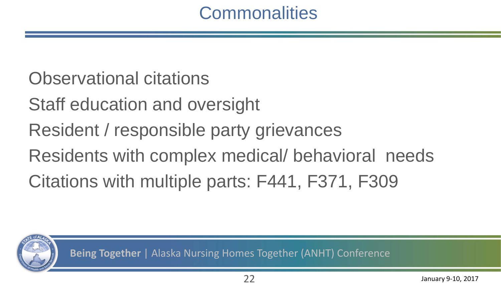#### **Commonalities**

#### Observational citations

- Staff education and oversight
- Resident / responsible party grievances
- Residents with complex medical/ behavioral needs
- Citations with multiple parts: F441, F371, F309

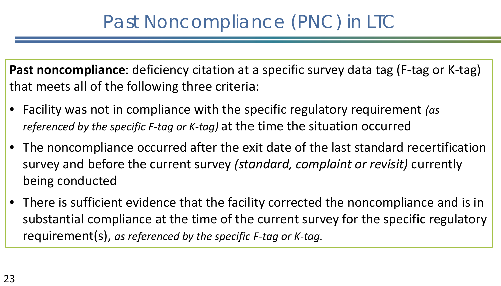#### Past Noncompliance (PNC) in LTC

**Past noncompliance**: deficiency citation at a specific survey data tag (F-tag or K-tag) that meets all of the following three criteria:

- Facility was not in compliance with the specific regulatory requirement *(as referenced by the specific F-tag or K-tag)* at the time the situation occurred
- The noncompliance occurred after the exit date of the last standard recertification survey and before the current survey *(standard, complaint or revisit)* currently being conducted
- There is sufficient evidence that the facility corrected the noncompliance and is in substantial compliance at the time of the current survey for the specific regulatory requirement(s), *as referenced by the specific F-tag or K-tag.*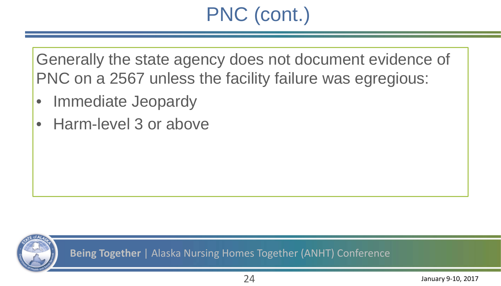## PNC (cont.)

Generally the state agency does not document evidence of PNC on a 2567 unless the facility failure was egregious:

- Immediate Jeopardy
- Harm-level 3 or above

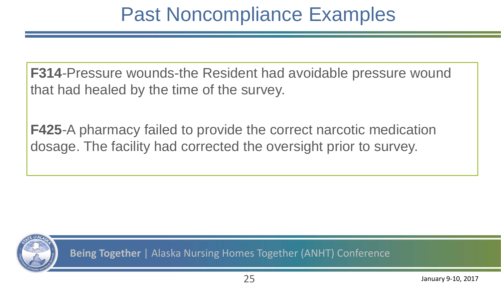### Past Noncompliance Examples

**F314**-Pressure wounds-the Resident had avoidable pressure wound that had healed by the time of the survey.

**F425**-A pharmacy failed to provide the correct narcotic medication dosage. The facility had corrected the oversight prior to survey.

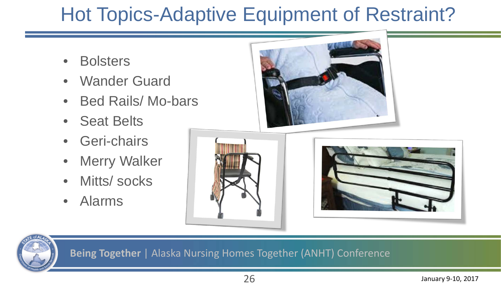## [Hot Topic](http://www.google.com/url?sa=i&rct=j&q=&esrc=s&source=images&cd=&cad=rja&uact=8&ved=0ahUKEwjij_fbmq7RAhUIz2MKHbXiCIAQjRwIBw&url=http://www.fda.gov/MedicalDevices/ProductsandMedicalProcedures/HomeHealthandConsumer/ConsumerProducts/BedRailSafety/default.htm&psig=AFQjCNHEiKMzjpSsdUoET_4XcRz5-71ASA&ust=1483815744976746)s-Adaptive Equipment of Restraint?

- Bolsters
- Wander Guard
- Bed Rails/ Mo-bars
- Seat Belts
- Geri-chairs
- **Merry Walker**
- Mitts/ socks
- Alarms





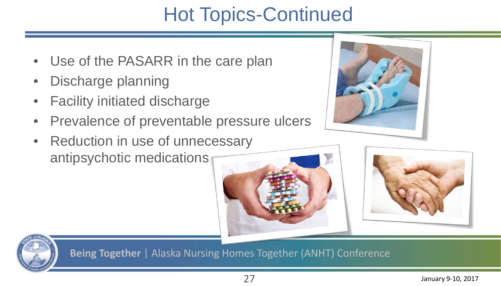### Hot Topics-Continued

- Use of the PASARR in the care plan
- Discharge planning
- **Facility initiated discharge**
- Prevalence of preventable pressure ulcers
- Reduction in use of unnecessary antipsychotic medications





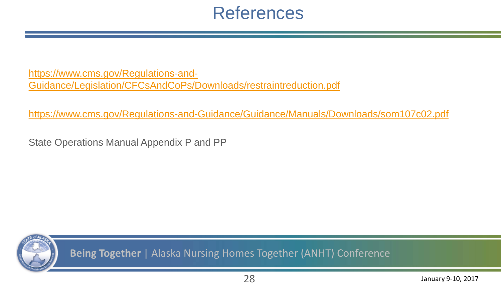#### References

[https://www.cms.gov/Regulations-and-](https://www.cms.gov/Regulations-and-Guidance/Legislation/CFCsAndCoPs/Downloads/restraintreduction.pdf)[Guidance/Legislation/CFCsAndCoPs/Downloads/restraintreduction.pdf](https://www.cms.gov/Regulations-and-Guidance/Legislation/CFCsAndCoPs/Downloads/restraintreduction.pdf)

<https://www.cms.gov/Regulations-and-Guidance/Guidance/Manuals/Downloads/som107c02.pdf>

State Operations Manual Appendix P and PP